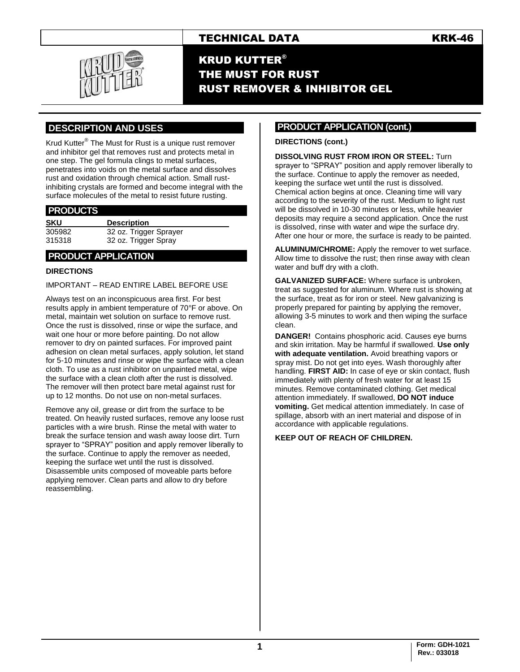# TECHNICAL DATA KRK-46



KRUD KUTTER® THE MUST FOR RUST RUST REMOVER & INHIBITOR GEL

# **.DESCRIPTION AND USES .**

Krud Kutter® The Must for Rust is a unique rust remover and inhibitor gel that removes rust and protects metal in one step. The gel formula clings to metal surfaces, penetrates into voids on the metal surface and dissolves rust and oxidation through chemical action. Small rustinhibiting crystals are formed and become integral with the surface molecules of the metal to resist future rusting.

## **PRODUCTS .**

| SKU    | <b>Description</b>     |
|--------|------------------------|
| 305982 | 32 oz. Trigger Sprayer |
| 315318 | 32 oz. Trigger Spray   |

## **.PRODUCT APPLICATION .**

#### **DIRECTIONS**

## IMPORTANT – READ ENTIRE LABEL BEFORE USE

Always test on an inconspicuous area first. For best results apply in ambient temperature of 70°F or above. On metal, maintain wet solution on surface to remove rust. Once the rust is dissolved, rinse or wipe the surface, and wait one hour or more before painting. Do not allow remover to dry on painted surfaces. For improved paint adhesion on clean metal surfaces, apply solution, let stand for 5-10 minutes and rinse or wipe the surface with a clean cloth. To use as a rust inhibitor on unpainted metal, wipe the surface with a clean cloth after the rust is dissolved. The remover will then protect bare metal against rust for up to 12 months. Do not use on non-metal surfaces.

Remove any oil, grease or dirt from the surface to be treated. On heavily rusted surfaces, remove any loose rust particles with a wire brush. Rinse the metal with water to break the surface tension and wash away loose dirt. Turn sprayer to "SPRAY" position and apply remover liberally to the surface. Continue to apply the remover as needed, keeping the surface wet until the rust is dissolved. Disassemble units composed of moveable parts before applying remover. Clean parts and allow to dry before reassembling.

## **PRODUCT APPLICATION (cont.) .**

#### **DIRECTIONS (cont.)**

**DISSOLVING RUST FROM IRON OR STEEL:** Turn sprayer to "SPRAY" position and apply remover liberally to the surface. Continue to apply the remover as needed, keeping the surface wet until the rust is dissolved. Chemical action begins at once. Cleaning time will vary according to the severity of the rust. Medium to light rust will be dissolved in 10-30 minutes or less, while heavier deposits may require a second application. Once the rust is dissolved, rinse with water and wipe the surface dry. After one hour or more, the surface is ready to be painted.

**ALUMINUM/CHROME:** Apply the remover to wet surface. Allow time to dissolve the rust; then rinse away with clean water and buff dry with a cloth.

**GALVANIZED SURFACE:** Where surface is unbroken, treat as suggested for aluminum. Where rust is showing at the surface, treat as for iron or steel. New galvanizing is properly prepared for painting by applying the remover, allowing 3-5 minutes to work and then wiping the surface clean.

**DANGER!** Contains phosphoric acid. Causes eye burns and skin irritation. May be harmful if swallowed. **Use only with adequate ventilation.** Avoid breathing vapors or spray mist. Do not get into eyes. Wash thoroughly after handling. **FIRST AID:** In case of eye or skin contact, flush immediately with plenty of fresh water for at least 15 minutes. Remove contaminated clothing. Get medical attention immediately. If swallowed, **DO NOT induce vomiting.** Get medical attention immediately. In case of spillage, absorb with an inert material and dispose of in accordance with applicable regulations.

#### **KEEP OUT OF REACH OF CHILDREN.**